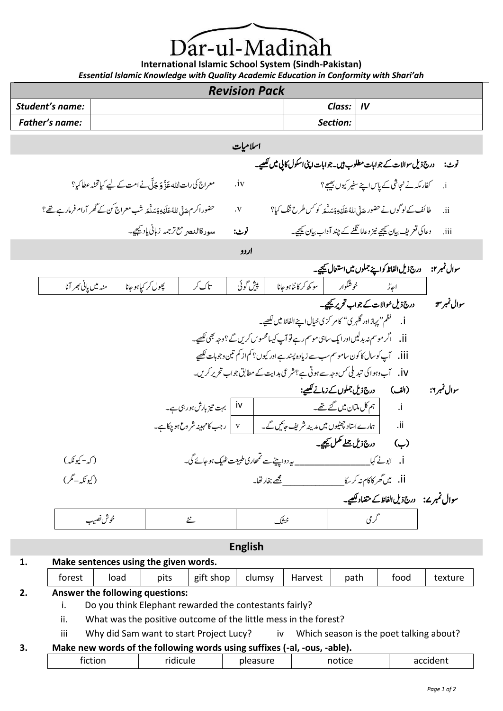ar-ul-Madina

**International Islamic School System (Sindh-Pakistan)** *Essential Islamic Knowledge with Quality Academic Education in Conformity with Shari'ah*

|                       |                             |                                                                                        |                                                                                                          | <b>Revision Pack</b> |                |                                                                                                                                                                                                                                                                                                |                                                      | Essential Islamic Knowledge With Quanty Acudemic Education in Conjorninty With Shari an                                                                                                          |                         |                              |
|-----------------------|-----------------------------|----------------------------------------------------------------------------------------|----------------------------------------------------------------------------------------------------------|----------------------|----------------|------------------------------------------------------------------------------------------------------------------------------------------------------------------------------------------------------------------------------------------------------------------------------------------------|------------------------------------------------------|--------------------------------------------------------------------------------------------------------------------------------------------------------------------------------------------------|-------------------------|------------------------------|
| Student's name:       |                             |                                                                                        |                                                                                                          |                      |                |                                                                                                                                                                                                                                                                                                | Class:                                               | IV                                                                                                                                                                                               |                         |                              |
| <b>Father's name:</b> |                             |                                                                                        |                                                                                                          |                      |                |                                                                                                                                                                                                                                                                                                | Section:                                             |                                                                                                                                                                                                  |                         |                              |
|                       |                             |                                                                                        |                                                                                                          | اسلاميات             |                |                                                                                                                                                                                                                                                                                                |                                                      |                                                                                                                                                                                                  |                         |                              |
|                       |                             |                                                                                        |                                                                                                          |                      |                | نوٹ: درج ذیل سوالات کے جوابات مطلوب ہیں۔جوابات اپنی اسکول کاپی میں <u>لکھ</u> یے۔                                                                                                                                                                                                              |                                                      |                                                                                                                                                                                                  |                         |                              |
|                       |                             | معراج کی رات الله عَذَّ وَ جَلَّ نے امت کے لیے کیاتحفہ عطاکیا؟                         |                                                                                                          | $\mathbf{u}$         |                |                                                                                                                                                                                                                                                                                                |                                                      | i. گفارمکہ نے نجاشی کے پاس اپنے سفیر کیوں بھیج؟                                                                                                                                                  |                         |                              |
|                       |                             | حضور اکر مہ صَلَّى اللَّهُ عَلَيۡهِ وَمَدَلَّهَ شَب معراج کن کے گھر آرام فرمار ہے تھے؟ |                                                                                                          | $_{\rm \bf \cdot V}$ |                | طائف کے لوگوں نے حضور حَدَّى اللهُ عَلَيْهِ وَمَدلَّقَه كو كس طرح تنگ كيا؟                                                                                                                                                                                                                     |                                                      |                                                                                                                                                                                                  |                         | ii.                          |
|                       |                             |                                                                                        | سورةالنصر مع ترجمه زباني ياديجيجه                                                                        | نوب:                 |                | دعا کی تعریف بیان کیجیے نیز دعاما نگنے کے چند آداب بیان کیجیے۔                                                                                                                                                                                                                                 |                                                      |                                                                                                                                                                                                  |                         | iii.                         |
|                       |                             |                                                                                        |                                                                                                          | اردو                 |                |                                                                                                                                                                                                                                                                                                |                                                      |                                                                                                                                                                                                  |                         |                              |
|                       |                             |                                                                                        |                                                                                                          |                      |                |                                                                                                                                                                                                                                                                                                |                                                      | درج ذيل الفاظ كواپنے جملوں ميں استعال کيچيے۔                                                                                                                                                     |                         | سوال نمبر ۲:                 |
|                       | منه میں پانی بھر آنا        | پھول کر <sub>کیا</sub> ہو جانا                                                         | تاك كر                                                                                                   | پېش گوئی             |                | یو که کر کانٹاہوجانا                                                                                                                                                                                                                                                                           | خوشگوار                                              |                                                                                                                                                                                                  | احاڑ                    |                              |
|                       | (كە-كيونكە)<br>(کیونکہ-مگر) |                                                                                        | بہت تیز بارش ہور ہی ہے۔<br>v   رجب کامہینہ شروع ہو چکاہے۔<br>یہ دواپینے سے تمھاری طبیعت ٹھیک ہو جائے گی۔ | iv                   | مجھے بخار تقا۔ | i. گنظم" پہاڑ اور گلہر ی" کامر کزی خیال اپنے الفاظ میں لکھیے۔<br>iii.        تپ کوسال کاکون ساموسم سب سے زیادہ پسند ہے اور کیوں؟ کم از کم تین وجوہات لکھیے<br>iv.     ٱب وہوا کی تبدیلی کس وجہ سے ہوتی ہے؟شرعی ہدایت کے مطابق جواب تحریر کریں۔<br>  ہمارے اساد چھٹیوں میں مدینہ شریف جائیں گے۔ | ہم کل ملتان میں گئے تھے۔<br>درج ذیل جملے مکمل کیجیے۔ | درج ذیل مُوالات کے جواب تحریر کیچیے۔<br>(الف) درج ذیل جملوں کے زمانے <u>ککھیے</u> :<br>j. ابونے کہا<br>ii. میں <i>گھر</i> کاکام نہ کر ب <u>ی</u> کا<br>سوال نمبرے: درج ذیل الفاظ کے متضاد لکھیے۔ | $\cdot$ i<br>ii.<br>(ب) | سوال نمبر ۳:<br>سوال نمبر ۲: |
|                       |                             | خوش نصيب                                                                               | ثئے                                                                                                      |                      | خشک            |                                                                                                                                                                                                                                                                                                |                                                      | گر می                                                                                                                                                                                            |                         |                              |

**English**

## **1. Make sentences using the given words.**

|    | forest | load                            | pits | gift shop | clumsy | Harvest | path | tood | texture |
|----|--------|---------------------------------|------|-----------|--------|---------|------|------|---------|
| ۷. |        | Answer the following questions: |      |           |        |         |      |      |         |

i. Do you think Elephant rewarded the contestants fairly?

ii. What was the positive outcome of the little mess in the forest?

iii Why did Sam want to start Project Lucy? iv Which season is the poet talking about?

## **3. Make new words of the following words using suffixes (-al, -ous, -able).**

| ш<br>_____ | <br>. | -- | . | --<br>. |
|------------|-------|----|---|---------|
|            |       |    |   |         |